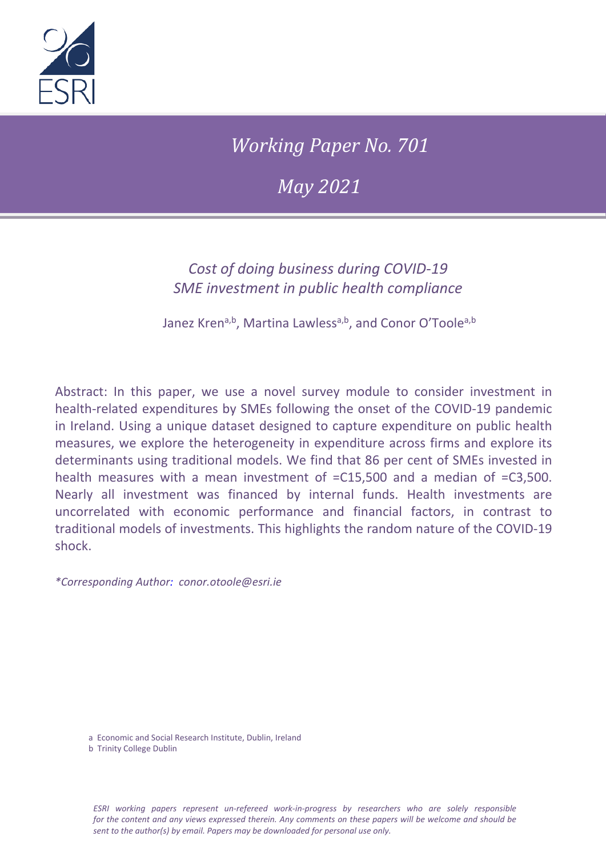

*Working Paper No. 701*

*May 2021*

## *Cost of doing business during COVID-19 SME investment in public health compliance*

Janez Krena,b, Martina Lawlessa,b, and Conor O'Toolea,b

Abstract: In this paper, we use a novel survey module to consider investment in health-related expenditures by SMEs following the onset of the COVID-19 pandemic in Ireland. Using a unique dataset designed to capture expenditure on public health measures, we explore the heterogeneity in expenditure across firms and explore its determinants using traditional models. We find that 86 per cent of SMEs invested in health measures with a mean investment of =C15,500 and a median of =C3,500. Nearly all investment was financed by internal funds. Health investments are uncorrelated with economic performance and financial factors, in contrast to traditional models of investments. This highlights the random nature of the COVID-19 shock.

*\*Corresponding Author: conor.otoole@esri.ie*

a Economic and Social Research Institute, Dublin, Ireland

b Trinity College Dublin

*ESRI working papers represent un-refereed work-in-progress by researchers who are solely responsible for the content and any views expressed therein. Any comments on these papers will be welcome and should be sent to the author(s) by email. Papers may be downloaded for personal use only.*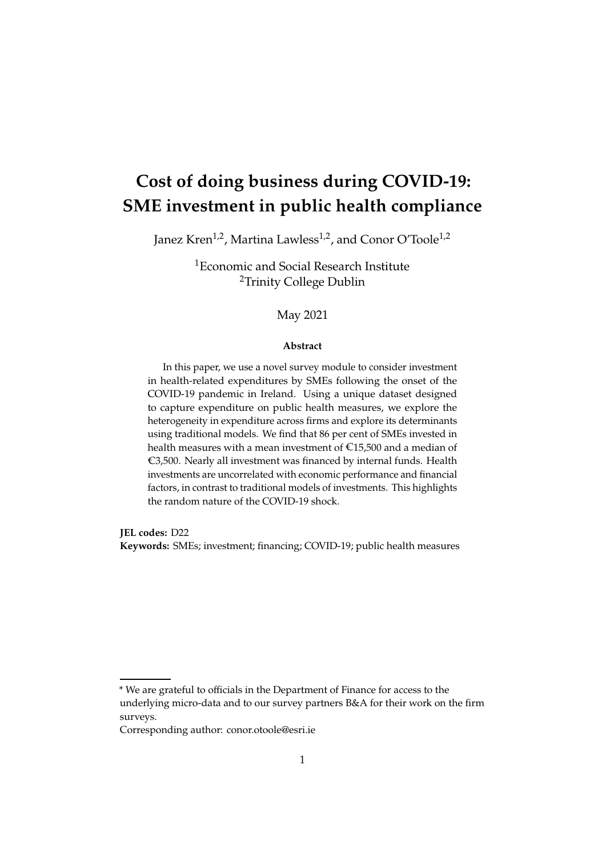# **Cost of doing business during COVID-19: SME investment in public health compliance**

Janez Kren<sup>1,2</sup>, Martina Lawless<sup>1,2</sup>, and Conor O'Toole<sup>1,2</sup>

<sup>1</sup>Economic and Social Research Institute <sup>2</sup>Trinity College Dublin

#### May 2021

#### **Abstract**

In this paper, we use a novel survey module to consider investment in health-related expenditures by SMEs following the onset of the COVID-19 pandemic in Ireland. Using a unique dataset designed to capture expenditure on public health measures, we explore the heterogeneity in expenditure across firms and explore its determinants using traditional models. We find that 86 per cent of SMEs invested in health measures with a mean investment of  $E15,500$  and a median of  $€3,500.$  Nearly all investment was financed by internal funds. Health investments are uncorrelated with economic performance and financial factors, in contrast to traditional models of investments. This highlights the random nature of the COVID-19 shock.

**JEL codes:** D22

**Keywords:** SMEs; investment; financing; COVID-19; public health measures

\* We are grateful to officials in the Department of Finance for access to the underlying micro-data and to our survey partners B&A for their work on the firm surveys.

Corresponding author: conor.otoole@esri.ie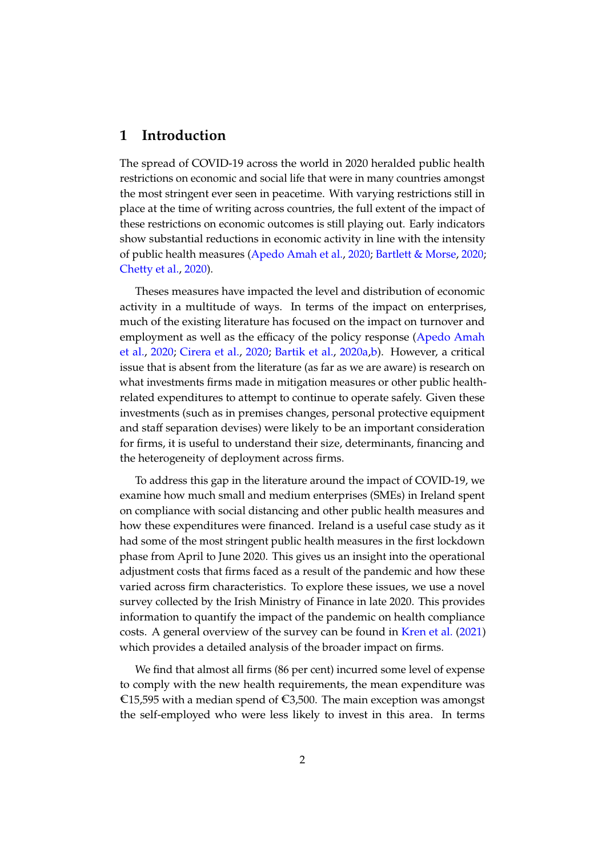#### **1 Introduction**

The spread of COVID-19 across the world in 2020 heralded public health restrictions on economic and social life that were in many countries amongst the most stringent ever seen in peacetime. With varying restrictions still in place at the time of writing across countries, the full extent of the impact of these restrictions on economic outcomes is still playing out. Early indicators show substantial reductions in economic activity in line with the intensity of public health measures [\(Apedo Amah et al.,](#page-11-0) [2020;](#page-11-0) [Bartlett & Morse,](#page-11-1) [2020;](#page-11-1) [Chetty et al.,](#page-11-2) [2020\)](#page-11-2).

Theses measures have impacted the level and distribution of economic activity in a multitude of ways. In terms of the impact on enterprises, much of the existing literature has focused on the impact on turnover and employment as well as the efficacy of the policy response [\(Apedo Amah](#page-11-0) [et al.,](#page-11-0) [2020;](#page-11-0) [Cirera et al.,](#page-11-3) [2020;](#page-11-3) [Bartik et al.,](#page-11-4) [2020a,](#page-11-4)[b\)](#page-11-5). However, a critical issue that is absent from the literature (as far as we are aware) is research on what investments firms made in mitigation measures or other public healthrelated expenditures to attempt to continue to operate safely. Given these investments (such as in premises changes, personal protective equipment and staff separation devises) were likely to be an important consideration for firms, it is useful to understand their size, determinants, financing and the heterogeneity of deployment across firms.

To address this gap in the literature around the impact of COVID-19, we examine how much small and medium enterprises (SMEs) in Ireland spent on compliance with social distancing and other public health measures and how these expenditures were financed. Ireland is a useful case study as it had some of the most stringent public health measures in the first lockdown phase from April to June 2020. This gives us an insight into the operational adjustment costs that firms faced as a result of the pandemic and how these varied across firm characteristics. To explore these issues, we use a novel survey collected by the Irish Ministry of Finance in late 2020. This provides information to quantify the impact of the pandemic on health compliance costs. A general overview of the survey can be found in [Kren et al.](#page-12-0) [\(2021\)](#page-12-0) which provides a detailed analysis of the broader impact on firms.

We find that almost all firms (86 per cent) incurred some level of expense to comply with the new health requirements, the mean expenditure was €15,595 with a median spend of €3,500. The main exception was amongst the self-employed who were less likely to invest in this area. In terms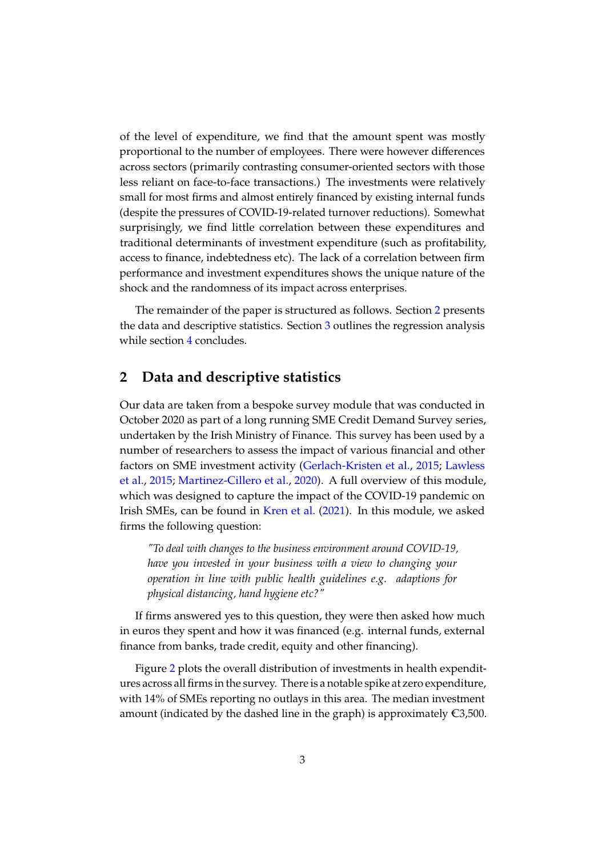of the level of expenditure, we find that the amount spent was mostly proportional to the number of employees. There were however differences across sectors (primarily contrasting consumer-oriented sectors with those less reliant on face-to-face transactions.) The investments were relatively small for most firms and almost entirely financed by existing internal funds (despite the pressures of COVID-19-related turnover reductions). Somewhat surprisingly, we find little correlation between these expenditures and traditional determinants of investment expenditure (such as profitability, access to finance, indebtedness etc). The lack of a correlation between firm performance and investment expenditures shows the unique nature of the shock and the randomness of its impact across enterprises.

The remainder of the paper is structured as follows. Section [2](#page-3-0) presents the data and descriptive statistics. Section [3](#page-8-0) outlines the regression analysis while section [4](#page-10-0) concludes.

### <span id="page-3-0"></span>**2 Data and descriptive statistics**

Our data are taken from a bespoke survey module that was conducted in October 2020 as part of a long running SME Credit Demand Survey series, undertaken by the Irish Ministry of Finance. This survey has been used by a number of researchers to assess the impact of various financial and other factors on SME investment activity [\(Gerlach-Kristen et al.,](#page-12-1) [2015;](#page-12-1) [Lawless](#page-12-2) [et al.,](#page-12-2) [2015;](#page-12-2) [Martinez-Cillero et al.,](#page-12-3) [2020\)](#page-12-3). A full overview of this module, which was designed to capture the impact of the COVID-19 pandemic on Irish SMEs, can be found in [Kren et al.](#page-12-0) [\(2021\)](#page-12-0). In this module, we asked firms the following question:

*"To deal with changes to the business environment around COVID-19, have you invested in your business with a view to changing your operation in line with public health guidelines e.g. adaptions for physical distancing, hand hygiene etc?"*

If firms answered yes to this question, they were then asked how much in euros they spent and how it was financed (e.g. internal funds, external finance from banks, trade credit, equity and other financing).

Figure [2](#page-3-0) plots the overall distribution of investments in health expenditures across all firms in the survey. There is a notable spike at zero expenditure, with 14% of SMEs reporting no outlays in this area. The median investment amount (indicated by the dashed line in the graph) is approximately  $\epsilon$ 3,500.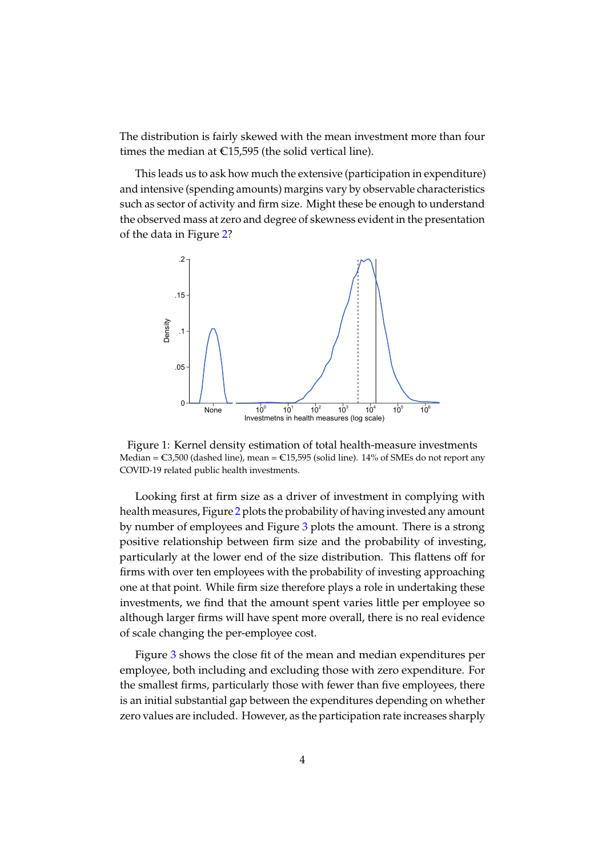The distribution is fairly skewed with the mean investment more than four times the median at  $E$ 15,595 (the solid vertical line).

This leads us to ask how much the extensive (participation in expenditure) and intensive (spending amounts) margins vary by observable characteristics such as sector of activity and firm size. Might these be enough to understand the observed mass at zero and degree of skewness evident in the presentation of the data in Figure [2?](#page-3-0)



Figure 1: Kernel density estimation of total health-measure investments Median =  $\text{C3,500}$  (dashed line), mean =  $\text{C15,595}$  (solid line). 14% of SMEs do not report any COVID-19 related public health investments.

Looking first at firm size as a driver of investment in complying with health measures, Figure [2](#page-5-0) plots the probability of having invested any amount by number of employees and Figure [3](#page-6-0) plots the amount. There is a strong positive relationship between firm size and the probability of investing, particularly at the lower end of the size distribution. This flattens off for firms with over ten employees with the probability of investing approaching one at that point. While firm size therefore plays a role in undertaking these investments, we find that the amount spent varies little per employee so although larger firms will have spent more overall, there is no real evidence of scale changing the per-employee cost.

Figure [3](#page-6-0) shows the close fit of the mean and median expenditures per employee, both including and excluding those with zero expenditure. For the smallest firms, particularly those with fewer than five employees, there is an initial substantial gap between the expenditures depending on whether zero values are included. However, as the participation rate increases sharply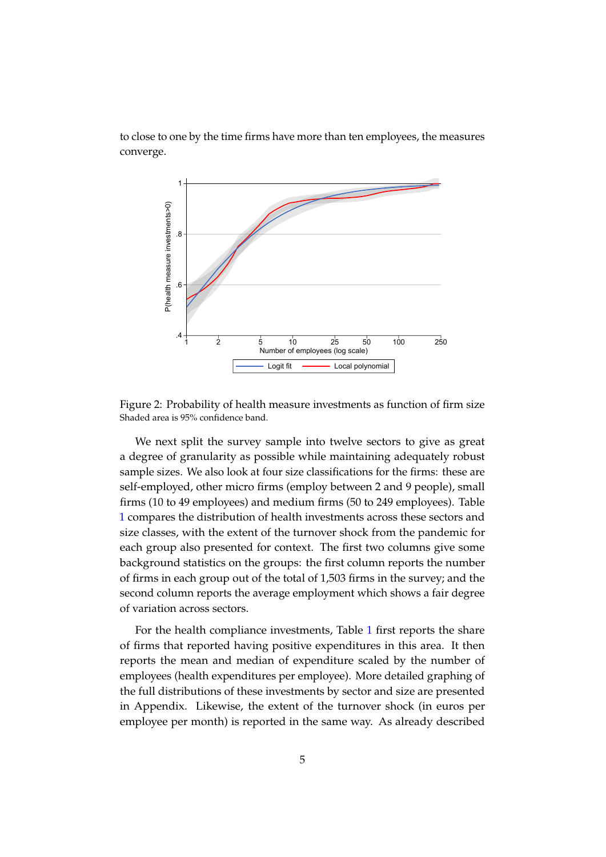



<span id="page-5-0"></span>Figure 2: Probability of health measure investments as function of firm size Shaded area is 95% confidence band.

We next split the survey sample into twelve sectors to give as great a degree of granularity as possible while maintaining adequately robust sample sizes. We also look at four size classifications for the firms: these are self-employed, other micro firms (employ between 2 and 9 people), small firms (10 to 49 employees) and medium firms (50 to 249 employees). Table [1](#page-7-0) compares the distribution of health investments across these sectors and size classes, with the extent of the turnover shock from the pandemic for each group also presented for context. The first two columns give some background statistics on the groups: the first column reports the number of firms in each group out of the total of 1,503 firms in the survey; and the second column reports the average employment which shows a fair degree of variation across sectors.

For the health compliance investments, Table [1](#page-7-0) first reports the share of firms that reported having positive expenditures in this area. It then reports the mean and median of expenditure scaled by the number of employees (health expenditures per employee). More detailed graphing of the full distributions of these investments by sector and size are presented in Appendix. Likewise, the extent of the turnover shock (in euros per employee per month) is reported in the same way. As already described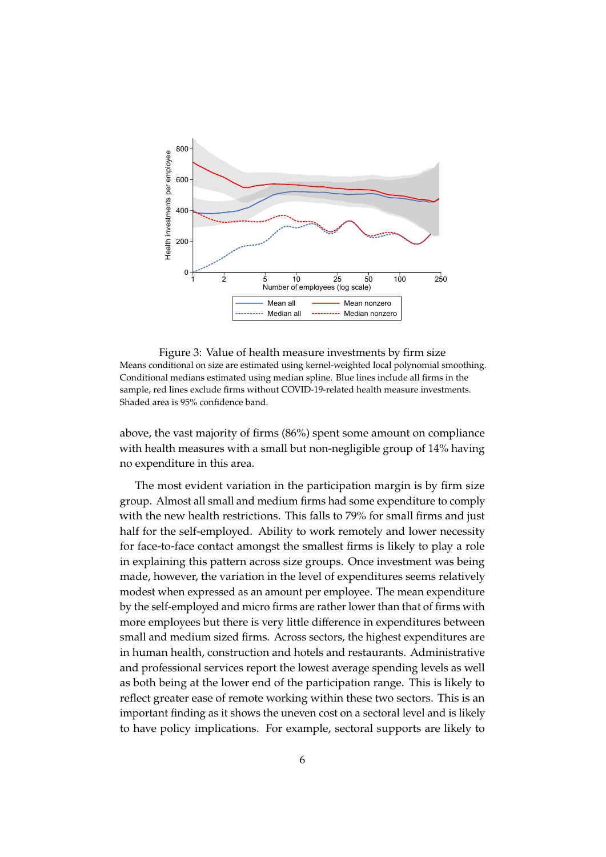

<span id="page-6-0"></span>Figure 3: Value of health measure investments by firm size Means conditional on size are estimated using kernel-weighted local polynomial smoothing. Conditional medians estimated using median spline. Blue lines include all firms in the sample, red lines exclude firms without COVID-19-related health measure investments. Shaded area is 95% confidence band.

above, the vast majority of firms (86%) spent some amount on compliance with health measures with a small but non-negligible group of 14% having no expenditure in this area.

The most evident variation in the participation margin is by firm size group. Almost all small and medium firms had some expenditure to comply with the new health restrictions. This falls to 79% for small firms and just half for the self-employed. Ability to work remotely and lower necessity for face-to-face contact amongst the smallest firms is likely to play a role in explaining this pattern across size groups. Once investment was being made, however, the variation in the level of expenditures seems relatively modest when expressed as an amount per employee. The mean expenditure by the self-employed and micro firms are rather lower than that of firms with more employees but there is very little difference in expenditures between small and medium sized firms. Across sectors, the highest expenditures are in human health, construction and hotels and restaurants. Administrative and professional services report the lowest average spending levels as well as both being at the lower end of the participation range. This is likely to reflect greater ease of remote working within these two sectors. This is an important finding as it shows the uneven cost on a sectoral level and is likely to have policy implications. For example, sectoral supports are likely to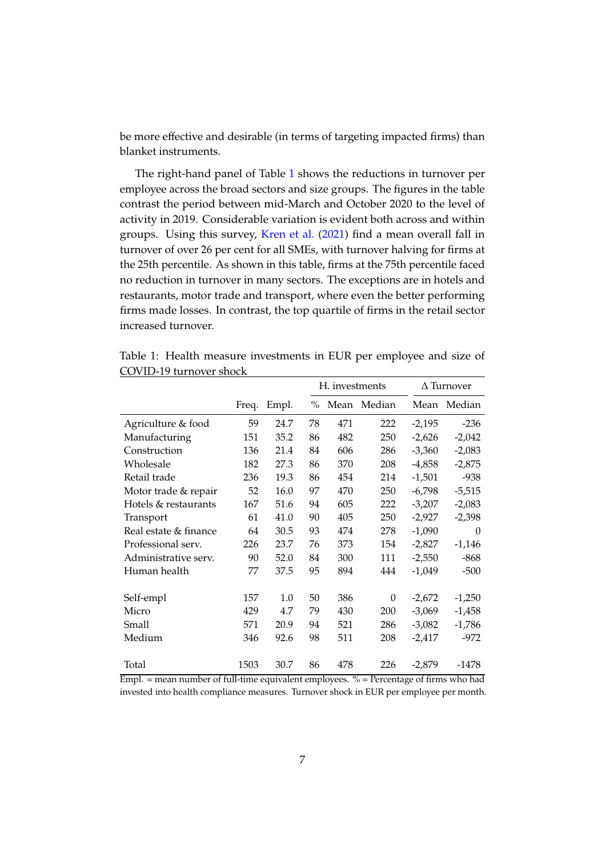be more effective and desirable (in terms of targeting impacted firms) than blanket instruments.

The right-hand panel of Table [1](#page-7-0) shows the reductions in turnover per employee across the broad sectors and size groups. The figures in the table contrast the period between mid-March and October 2020 to the level of activity in 2019. Considerable variation is evident both across and within groups. Using this survey, [Kren et al.](#page-12-0) [\(2021\)](#page-12-0) find a mean overall fall in turnover of over 26 per cent for all SMEs, with turnover halving for firms at the 25th percentile. As shown in this table, firms at the 75th percentile faced no reduction in turnover in many sectors. The exceptions are in hotels and restaurants, motor trade and transport, where even the better performing firms made losses. In contrast, the top quartile of firms in the retail sector increased turnover.

|                       |       |       |      | H. investments |        |          | $\Delta$ Turnover |  |
|-----------------------|-------|-------|------|----------------|--------|----------|-------------------|--|
|                       | Freq. | Empl. | $\%$ | Mean           | Median | Mean     | Median            |  |
| Agriculture & food    | 59    | 24.7  | 78   | 471            | 222    | $-2,195$ | $-236$            |  |
| Manufacturing         | 151   | 35.2  | 86   | 482            | 250    | $-2,626$ | $-2,042$          |  |
| Construction          | 136   | 21.4  | 84   | 606            | 286    | $-3,360$ | $-2,083$          |  |
| Wholesale             | 182   | 27.3  | 86   | 370            | 208    | -4,858   | $-2,875$          |  |
| Retail trade          | 236   | 19.3  | 86   | 454            | 214    | $-1,501$ | $-938$            |  |
| Motor trade & repair  | 52    | 16.0  | 97   | 470            | 250    | -6,798   | $-5,515$          |  |
| Hotels & restaurants  | 167   | 51.6  | 94   | 605            | 222    | $-3,207$ | $-2,083$          |  |
| Transport             | 61    | 41.0  | 90   | 405            | 250    | $-2,927$ | $-2,398$          |  |
| Real estate & finance | 64    | 30.5  | 93   | 474            | 278    | $-1,090$ | $\Omega$          |  |
| Professional serv.    | 226   | 23.7  | 76   | 373            | 154    | $-2,827$ | $-1,146$          |  |
| Administrative serv.  | 90    | 52.0  | 84   | 300            | 111    | $-2,550$ | $-868$            |  |
| Human health          | 77    | 37.5  | 95   | 894            | 444    | $-1,049$ | $-500$            |  |
| Self-empl             | 157   | 1.0   | 50   | 386            | 0      | $-2,672$ | $-1,250$          |  |
| Micro                 | 429   | 4.7   | 79   | 430            | 200    | $-3,069$ | $-1,458$          |  |
| Small                 | 571   | 20.9  | 94   | 521            | 286    | $-3,082$ | $-1,786$          |  |
| Medium                | 346   | 92.6  | 98   | 511            | 208    | -2,417   | $-972$            |  |
| Total                 | 1503  | 30.7  | 86   | 478            | 226    | $-2,879$ | $-1478$           |  |

<span id="page-7-0"></span>Table 1: Health measure investments in EUR per employee and size of COVID-19 turnover shock

Empl. = mean number of full-time equivalent employees.  $%$  = Percentage of firms who had invested into health compliance measures. Turnover shock in EUR per employee per month.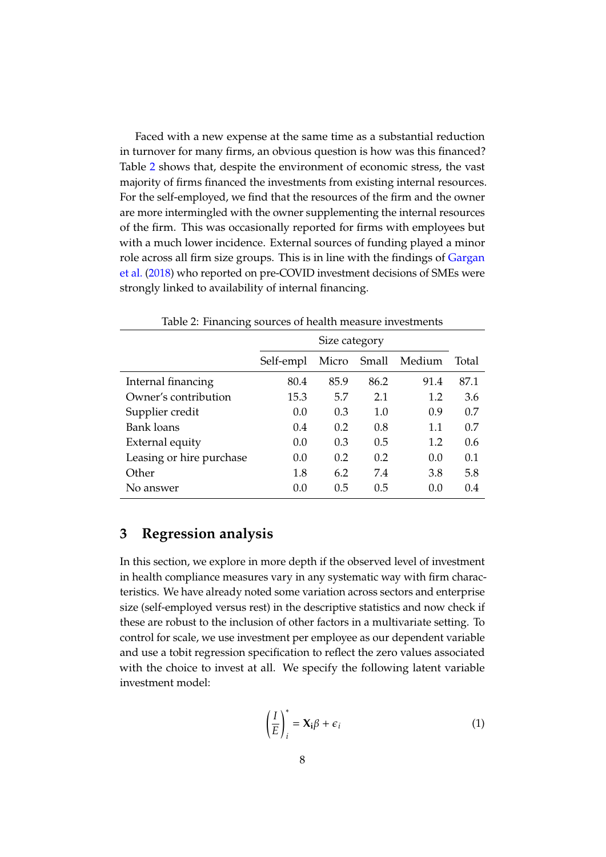Faced with a new expense at the same time as a substantial reduction in turnover for many firms, an obvious question is how was this financed? Table [2](#page-8-1) shows that, despite the environment of economic stress, the vast majority of firms financed the investments from existing internal resources. For the self-employed, we find that the resources of the firm and the owner are more intermingled with the owner supplementing the internal resources of the firm. This was occasionally reported for firms with employees but with a much lower incidence. External sources of funding played a minor role across all firm size groups. This is in line with the findings of [Gargan](#page-12-4) [et al.](#page-12-4) [\(2018\)](#page-12-4) who reported on pre-COVID investment decisions of SMEs were strongly linked to availability of internal financing.

| っ                        |               |       |       |        |       |  |  |
|--------------------------|---------------|-------|-------|--------|-------|--|--|
|                          | Size category |       |       |        |       |  |  |
|                          | Self-empl     | Micro | Small | Medium | Total |  |  |
| Internal financing       | 80.4          | 85.9  | 86.2  | 91.4   | 87.1  |  |  |
| Owner's contribution     | 15.3          | 5.7   | 2.1   | 1.2    | 3.6   |  |  |
| Supplier credit          | 0.0           | 0.3   | 1.0   | 0.9    | 0.7   |  |  |
| <b>Bank loans</b>        | 0.4           | 0.2   | 0.8   | 1.1    | 0.7   |  |  |
| External equity          | 0.0           | 0.3   | 0.5   | 1.2    | 0.6   |  |  |
| Leasing or hire purchase | 0.0           | 0.2   | 0.2   | 0.0    | 0.1   |  |  |
| Other                    | 1.8           | 6.2   | 7.4   | 3.8    | 5.8   |  |  |
| No answer                | (0.0)         | 0.5   | 0.5   | (0.0)  | 0.4   |  |  |

<span id="page-8-1"></span>Table 2: Financing sources of health measure investments

#### <span id="page-8-0"></span>**3 Regression analysis**

In this section, we explore in more depth if the observed level of investment in health compliance measures vary in any systematic way with firm characteristics. We have already noted some variation across sectors and enterprise size (self-employed versus rest) in the descriptive statistics and now check if these are robust to the inclusion of other factors in a multivariate setting. To control for scale, we use investment per employee as our dependent variable and use a tobit regression specification to reflect the zero values associated with the choice to invest at all. We specify the following latent variable investment model:

$$
\left(\frac{I}{E}\right)_i^* = \mathbf{X}_i \boldsymbol{\beta} + \boldsymbol{\epsilon}_i
$$
\n(1)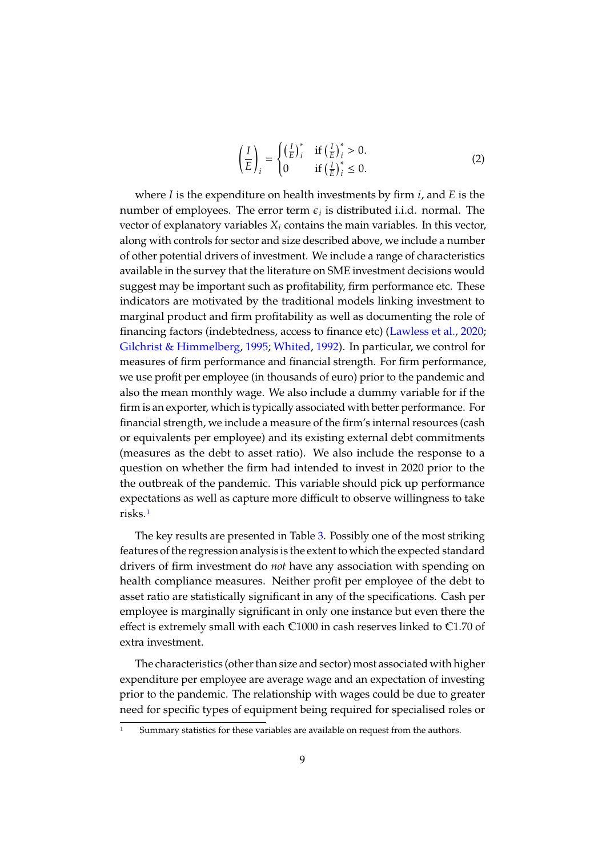$$
\left(\frac{I}{E}\right)_i = \begin{cases}\n\left(\frac{I}{E}\right)_i^* & \text{if } \left(\frac{I}{E}\right)_i^* > 0. \\
0 & \text{if } \left(\frac{I}{E}\right)_i^* \le 0.\n\end{cases}
$$
\n(2)

where  $I$  is the expenditure on health investments by firm  $i$ , and  $E$  is the number of employees. The error term  $\epsilon_i$  is distributed i.i.d. normal. The vector of explanatory variables  $X_i$  contains the main variables. In this vector, along with controls for sector and size described above, we include a number of other potential drivers of investment. We include a range of characteristics available in the survey that the literature on SME investment decisions would suggest may be important such as profitability, firm performance etc. These indicators are motivated by the traditional models linking investment to marginal product and firm profitability as well as documenting the role of financing factors (indebtedness, access to finance etc) [\(Lawless et al.,](#page-12-5) [2020;](#page-12-5) [Gilchrist & Himmelberg,](#page-12-6) [1995;](#page-12-6) [Whited,](#page-12-7) [1992\)](#page-12-7). In particular, we control for measures of firm performance and financial strength. For firm performance, we use profit per employee (in thousands of euro) prior to the pandemic and also the mean monthly wage. We also include a dummy variable for if the firm is an exporter, which is typically associated with better performance. For financial strength, we include a measure of the firm's internal resources (cash or equivalents per employee) and its existing external debt commitments (measures as the debt to asset ratio). We also include the response to a question on whether the firm had intended to invest in 2020 prior to the the outbreak of the pandemic. This variable should pick up performance expectations as well as capture more difficult to observe willingness to take risks.[1](#page-9-0)

The key results are presented in Table [3.](#page-13-0) Possibly one of the most striking features of the regression analysis is the extent to which the expected standard drivers of firm investment do *not* have any association with spending on health compliance measures. Neither profit per employee of the debt to asset ratio are statistically significant in any of the specifications. Cash per employee is marginally significant in only one instance but even there the effect is extremely small with each  $\epsilon$ 1000 in cash reserves linked to  $\epsilon$ 1.70 of extra investment.

The characteristics (other than size and sector) most associated with higher expenditure per employee are average wage and an expectation of investing prior to the pandemic. The relationship with wages could be due to greater need for specific types of equipment being required for specialised roles or

<span id="page-9-0"></span>Summary statistics for these variables are available on request from the authors.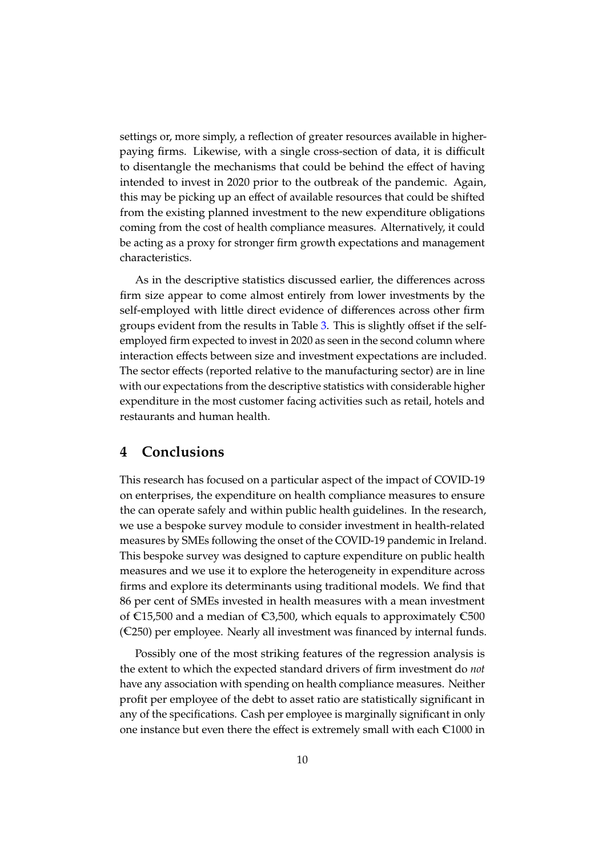settings or, more simply, a reflection of greater resources available in higherpaying firms. Likewise, with a single cross-section of data, it is difficult to disentangle the mechanisms that could be behind the effect of having intended to invest in 2020 prior to the outbreak of the pandemic. Again, this may be picking up an effect of available resources that could be shifted from the existing planned investment to the new expenditure obligations coming from the cost of health compliance measures. Alternatively, it could be acting as a proxy for stronger firm growth expectations and management characteristics.

As in the descriptive statistics discussed earlier, the differences across firm size appear to come almost entirely from lower investments by the self-employed with little direct evidence of differences across other firm groups evident from the results in Table [3.](#page-13-0) This is slightly offset if the selfemployed firm expected to invest in 2020 as seen in the second column where interaction effects between size and investment expectations are included. The sector effects (reported relative to the manufacturing sector) are in line with our expectations from the descriptive statistics with considerable higher expenditure in the most customer facing activities such as retail, hotels and restaurants and human health.

## <span id="page-10-0"></span>**4 Conclusions**

This research has focused on a particular aspect of the impact of COVID-19 on enterprises, the expenditure on health compliance measures to ensure the can operate safely and within public health guidelines. In the research, we use a bespoke survey module to consider investment in health-related measures by SMEs following the onset of the COVID-19 pandemic in Ireland. This bespoke survey was designed to capture expenditure on public health measures and we use it to explore the heterogeneity in expenditure across firms and explore its determinants using traditional models. We find that 86 per cent of SMEs invested in health measures with a mean investment of  $E15,500$  and a median of  $E3,500$ , which equals to approximately  $E500$  $(\mathbb{C}250)$  per employee. Nearly all investment was financed by internal funds.

Possibly one of the most striking features of the regression analysis is the extent to which the expected standard drivers of firm investment do *not* have any association with spending on health compliance measures. Neither profit per employee of the debt to asset ratio are statistically significant in any of the specifications. Cash per employee is marginally significant in only one instance but even there the effect is extremely small with each  $\epsilon$ 1000 in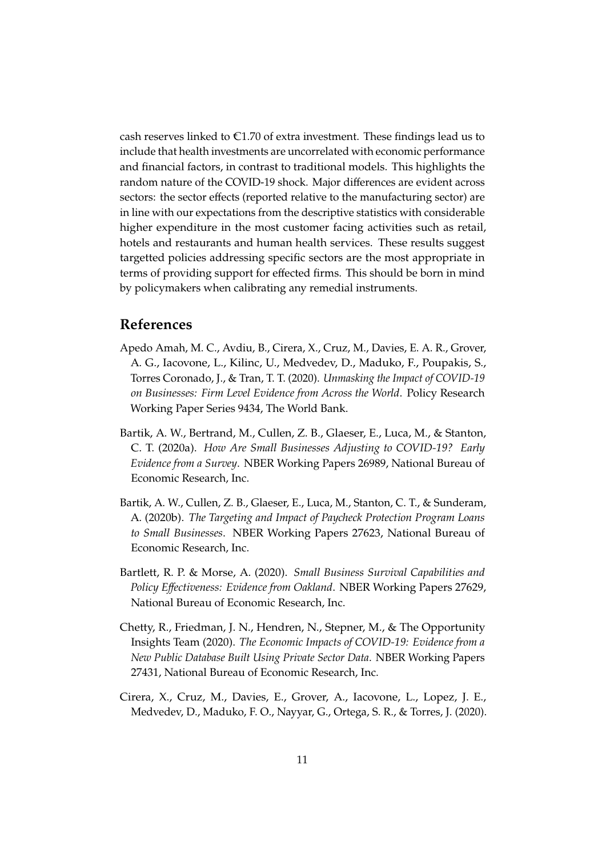cash reserves linked to  $\epsilon$ 1.70 of extra investment. These findings lead us to include that health investments are uncorrelated with economic performance and financial factors, in contrast to traditional models. This highlights the random nature of the COVID-19 shock. Major differences are evident across sectors: the sector effects (reported relative to the manufacturing sector) are in line with our expectations from the descriptive statistics with considerable higher expenditure in the most customer facing activities such as retail, hotels and restaurants and human health services. These results suggest targetted policies addressing specific sectors are the most appropriate in terms of providing support for effected firms. This should be born in mind by policymakers when calibrating any remedial instruments.

#### **References**

- <span id="page-11-0"></span>Apedo Amah, M. C., Avdiu, B., Cirera, X., Cruz, M., Davies, E. A. R., Grover, A. G., Iacovone, L., Kilinc, U., Medvedev, D., Maduko, F., Poupakis, S., Torres Coronado, J., & Tran, T. T. (2020). *Unmasking the Impact of COVID-19 on Businesses: Firm Level Evidence from Across the World*. Policy Research Working Paper Series 9434, The World Bank.
- <span id="page-11-4"></span>Bartik, A. W., Bertrand, M., Cullen, Z. B., Glaeser, E., Luca, M., & Stanton, C. T. (2020a). *How Are Small Businesses Adjusting to COVID-19? Early Evidence from a Survey*. NBER Working Papers 26989, National Bureau of Economic Research, Inc.
- <span id="page-11-5"></span>Bartik, A. W., Cullen, Z. B., Glaeser, E., Luca, M., Stanton, C. T., & Sunderam, A. (2020b). *The Targeting and Impact of Paycheck Protection Program Loans to Small Businesses*. NBER Working Papers 27623, National Bureau of Economic Research, Inc.
- <span id="page-11-1"></span>Bartlett, R. P. & Morse, A. (2020). *Small Business Survival Capabilities and Policy Effectiveness: Evidence from Oakland*. NBER Working Papers 27629, National Bureau of Economic Research, Inc.
- <span id="page-11-2"></span>Chetty, R., Friedman, J. N., Hendren, N., Stepner, M., & The Opportunity Insights Team (2020). *The Economic Impacts of COVID-19: Evidence from a New Public Database Built Using Private Sector Data*. NBER Working Papers 27431, National Bureau of Economic Research, Inc.
- <span id="page-11-3"></span>Cirera, X., Cruz, M., Davies, E., Grover, A., Iacovone, L., Lopez, J. E., Medvedev, D., Maduko, F. O., Nayyar, G., Ortega, S. R., & Torres, J. (2020).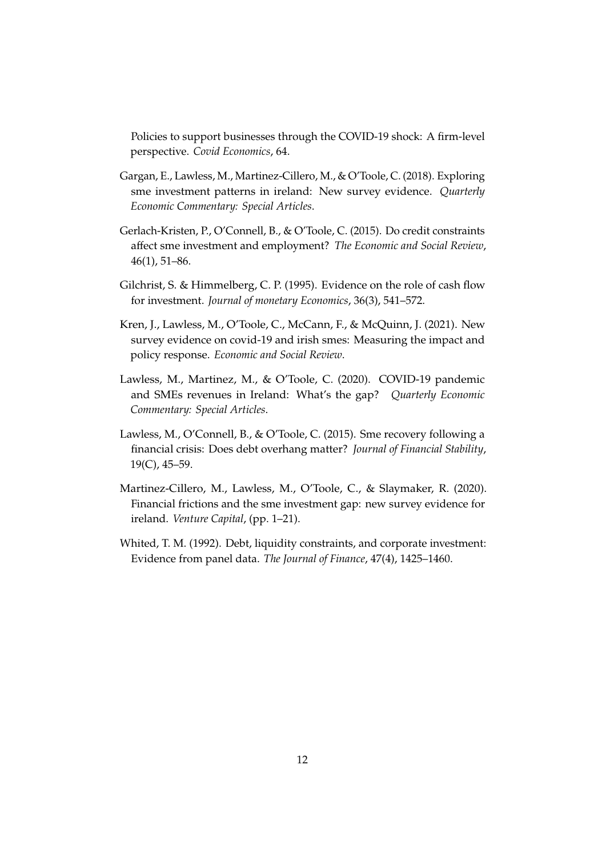Policies to support businesses through the COVID-19 shock: A firm-level perspective. *Covid Economics*, 64.

- <span id="page-12-4"></span>Gargan, E., Lawless, M., Martinez-Cillero, M., & O'Toole, C. (2018). Exploring sme investment patterns in ireland: New survey evidence. *Quarterly Economic Commentary: Special Articles*.
- <span id="page-12-1"></span>Gerlach-Kristen, P., O'Connell, B., & O'Toole, C. (2015). Do credit constraints affect sme investment and employment? *The Economic and Social Review*, 46(1), 51–86.
- <span id="page-12-6"></span>Gilchrist, S. & Himmelberg, C. P. (1995). Evidence on the role of cash flow for investment. *Journal of monetary Economics*, 36(3), 541–572.
- <span id="page-12-0"></span>Kren, J., Lawless, M., O'Toole, C., McCann, F., & McQuinn, J. (2021). New survey evidence on covid-19 and irish smes: Measuring the impact and policy response. *Economic and Social Review*.
- <span id="page-12-5"></span>Lawless, M., Martinez, M., & O'Toole, C. (2020). COVID-19 pandemic and SMEs revenues in Ireland: What's the gap? *Quarterly Economic Commentary: Special Articles*.
- <span id="page-12-2"></span>Lawless, M., O'Connell, B., & O'Toole, C. (2015). Sme recovery following a financial crisis: Does debt overhang matter? *Journal of Financial Stability*, 19(C), 45–59.
- <span id="page-12-3"></span>Martinez-Cillero, M., Lawless, M., O'Toole, C., & Slaymaker, R. (2020). Financial frictions and the sme investment gap: new survey evidence for ireland. *Venture Capital*, (pp. 1–21).
- <span id="page-12-7"></span>Whited, T. M. (1992). Debt, liquidity constraints, and corporate investment: Evidence from panel data. *The Journal of Finance*, 47(4), 1425–1460.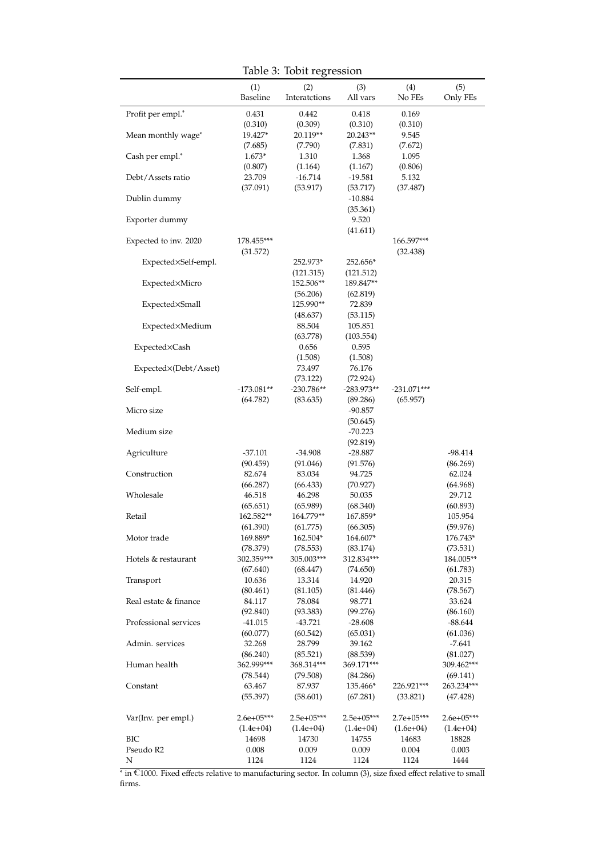<span id="page-13-0"></span>Table 3: Tobit regression

|                       | (1)<br>Baseline        | (2)<br>Interatctions     | (3)<br>All vars          | (4)<br>No FEs    | (5)<br>Only FEs        |
|-----------------------|------------------------|--------------------------|--------------------------|------------------|------------------------|
| Profit per empl.*     | 0.431                  | 0.442                    | 0.418                    | 0.169            |                        |
|                       | (0.310)                | (0.309)                  | (0.310)                  | (0.310)          |                        |
| Mean monthly wage*    | 19.427*                | 20.119**                 | $20.243**$               | 9.545            |                        |
|                       | (7.685)<br>$1.673*$    | (7.790)                  | (7.831)                  | (7.672)          |                        |
| Cash per empl.*       | (0.807)                | 1.310<br>(1.164)         | 1.368<br>(1.167)         | 1.095<br>(0.806) |                        |
| Debt/Assets ratio     | 23.709                 | $-16.714$                | $-19.581$                | 5.132            |                        |
|                       | (37.091)               | (53.917)                 | (53.717)                 | (37.487)         |                        |
| Dublin dummy          |                        |                          | $-10.884$                |                  |                        |
|                       |                        |                          | (35.361)                 |                  |                        |
| Exporter dummy        |                        |                          | 9.520<br>(41.611)        |                  |                        |
| Expected to inv. 2020 | $178.455***$           |                          |                          | 166.597***       |                        |
|                       | (31.572)               |                          |                          | (32.438)         |                        |
| Expected×Self-empl.   |                        | 252.973*                 | 252.656*                 |                  |                        |
|                       |                        | (121.315)                | (121.512)                |                  |                        |
| Expected×Micro        |                        | 152.506**                | 189.847**                |                  |                        |
|                       |                        | (56.206)<br>125.990**    | (62.819)<br>72.839       |                  |                        |
| Expected×Small        |                        | (48.637)                 | (53.115)                 |                  |                        |
| Expected×Medium       |                        | 88.504                   | 105.851                  |                  |                        |
|                       |                        | (63.778)                 | (103.554)                |                  |                        |
| Expected×Cash         |                        | 0.656                    | 0.595                    |                  |                        |
|                       |                        | (1.508)                  | (1.508)                  |                  |                        |
| Expected×(Debt/Asset) |                        | 73.497                   | 76.176                   |                  |                        |
| Self-empl.            | $-173.081**$           | (73.122)<br>$-230.786**$ | (72.924)<br>$-283.973**$ | $-231.071***$    |                        |
|                       | (64.782)               | (83.635)                 | (89.286)                 | (65.957)         |                        |
| Micro size            |                        |                          | $-90.857$                |                  |                        |
|                       |                        |                          | (50.645)                 |                  |                        |
| Medium size           |                        |                          | $-70.223$                |                  |                        |
|                       | $-37.101$              | $-34.908$                | (92.819)<br>$-28.887$    |                  |                        |
| Agriculture           | (90.459)               | (91.046)                 | (91.576)                 |                  | $-98.414$<br>(86.269)  |
| Construction          | 82.674                 | 83.034                   | 94.725                   |                  | 62.024                 |
|                       | (66.287)               | (66.433)                 | (70.927)                 |                  | (64.968)               |
| Wholesale             | 46.518                 | 46.298                   | 50.035                   |                  | 29.712                 |
|                       | (65.651)               | (65.989)                 | (68.340)                 |                  | (60.893)               |
| Retail                | 162.582**<br>(61.390)  | 164.779**<br>(61.775)    | 167.859*                 |                  | 105.954<br>(59.976)    |
| Motor trade           | 169.889*               | 162.504*                 | (66.305)<br>164.607*     |                  | 176.743*               |
|                       | (78.379)               | (78.553)                 | (83.174)                 |                  | (73.531)               |
| Hotels & restaurant   | 302.359***             | 305.003***               | 312.834***               |                  | 184.005**              |
|                       | (67.640)               | (68.447)                 | (74.650)                 |                  | (61.783)               |
| Transport             | 10.636                 | 13.314                   | 14.920                   |                  | 20.315                 |
| Real estate & finance | (80.461)<br>84.117     | (81.105)<br>78.084       | (81.446)<br>98.771       |                  | (78.567)<br>33.624     |
|                       | (92.840)               | (93.383)                 | (99.276)                 |                  | (86.160)               |
| Professional services | $-41.015$              | $-43.721$                | $-28.608$                |                  | $-88.644$              |
|                       | (60.077)               | (60.542)                 | (65.031)                 |                  | (61.036)               |
| Admin. services       | 32.268                 | 28.799                   | 39.162                   |                  | $-7.641$               |
|                       | (86.240)               | (85.521)                 | (88.539)                 |                  | (81.027)               |
| Human health          | 362.999***<br>(78.544) | 368.314***<br>(79.508)   | 369.171***<br>(84.286)   |                  | 309.462***<br>(69.141) |
| Constant              | 63.467                 | 87.937                   | 135.466*                 | 226.921***       | 263.234***             |
|                       | (55.397)               | (58.601)                 | (67.281)                 | (33.821)         | (47.428)               |
|                       |                        |                          |                          |                  |                        |
| Var(Inv. per empl.)   | $2.6e+05***$           | $2.5e+05***$             | $2.5e+05***$             | $2.7e+05***$     | $2.6e+05***$           |
|                       | $(1.4e+04)$            | $(1.4e+04)$              | $(1.4e+04)$              | $(1.6e+04)$      | $(1.4e+04)$            |
| ВIС<br>Pseudo R2      | 14698<br>0.008         | 14730<br>0.009           | 14755<br>0.009           | 14683<br>0.004   | 18828<br>0.003         |
| N                     | 1124                   | 1124                     | 1124                     | 1124             | 1444                   |

∗ in <sup>=</sup>C1000. Fixed effects relative to manufacturing sector. In column (3), size fixed effect relative to small firms.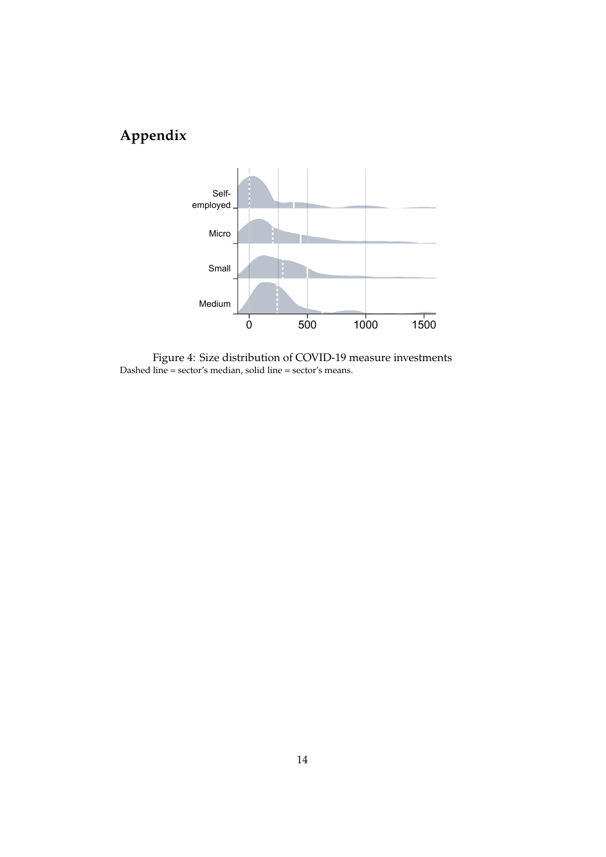# **Appendix**



Figure 4: Size distribution of COVID-19 measure investments Dashed line = sector's median, solid line = sector's means.